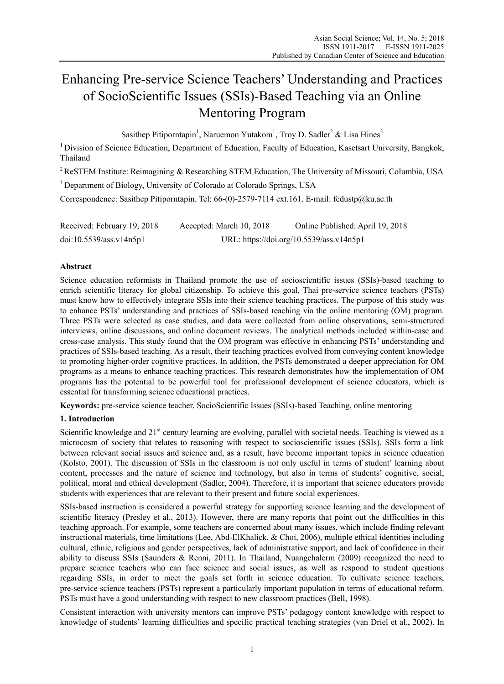# Enhancing Pre-service Science Teachers' Understanding and Practices of SocioScientific Issues (SSIs)-Based Teaching via an Online Mentoring Program

Sasithep Pitiporntapin<sup>1</sup>, Naruemon Yutakom<sup>1</sup>, Troy D. Sadler<sup>2</sup> & Lisa Hines<sup>3</sup>

<sup>1</sup> Division of Science Education, Department of Education, Faculty of Education, Kasetsart University, Bangkok, Thailand

<sup>2</sup> ReSTEM Institute: Reimagining & Researching STEM Education, The University of Missouri, Columbia, USA

<sup>3</sup> Department of Biology, University of Colorado at Colorado Springs, USA

Correspondence: Sasithep Pitiporntapin. Tel: 66-(0)-2579-7114 ext.161. E-mail: fedustp@ku.ac.th

Received: February 19, 2018 Accepted: March 10, 2018 Online Published: April 19, 2018 doi:10.5539/ass.v14n5p1 URL: https://doi.org/10.5539/ass.v14n5p1

# **Abstract**

Science education reformists in Thailand promote the use of socioscientific issues (SSIs)-based teaching to enrich scientific literacy for global citizenship. To achieve this goal, Thai pre-service science teachers (PSTs) must know how to effectively integrate SSIs into their science teaching practices. The purpose of this study was to enhance PSTs' understanding and practices of SSIs-based teaching via the online mentoring (OM) program. Three PSTs were selected as case studies, and data were collected from online observations, semi-structured interviews, online discussions, and online document reviews. The analytical methods included within-case and cross-case analysis. This study found that the OM program was effective in enhancing PSTs' understanding and practices of SSIs-based teaching. As a result, their teaching practices evolved from conveying content knowledge to promoting higher-order cognitive practices. In addition, the PSTs demonstrated a deeper appreciation for OM programs as a means to enhance teaching practices. This research demonstrates how the implementation of OM programs has the potential to be powerful tool for professional development of science educators, which is essential for transforming science educational practices.

**Keywords:** pre-service science teacher, SocioScientific Issues (SSIs)-based Teaching, online mentoring

# **1. Introduction**

Scientific knowledge and 21<sup>st</sup> century learning are evolving, parallel with societal needs. Teaching is viewed as a microcosm of society that relates to reasoning with respect to socioscientific issues (SSIs). SSIs form a link between relevant social issues and science and, as a result, have become important topics in science education (Kolsto, 2001). The discussion of SSIs in the classroom is not only useful in terms of student' learning about content, processes and the nature of science and technology, but also in terms of students' cognitive, social, political, moral and ethical development (Sadler, 2004). Therefore, it is important that science educators provide students with experiences that are relevant to their present and future social experiences.

SSIs-based instruction is considered a powerful strategy for supporting science learning and the development of scientific literacy (Presley et al., 2013). However, there are many reports that point out the difficulties in this teaching approach. For example, some teachers are concerned about many issues, which include finding relevant instructional materials, time limitations (Lee, Abd-ElKhalick, & Choi, 2006), multiple ethical identities including cultural, ethnic, religious and gender perspectives, lack of administrative support, and lack of confidence in their ability to discuss SSIs (Saunders & Renni, 2011). In Thailand, Nuangchalerm (2009) recognized the need to prepare science teachers who can face science and social issues, as well as respond to student questions regarding SSIs, in order to meet the goals set forth in science education. To cultivate science teachers, pre-service science teachers (PSTs) represent a particularly important population in terms of educational reform. PSTs must have a good understanding with respect to new classroom practices (Bell, 1998).

Consistent interaction with university mentors can improve PSTs' pedagogy content knowledge with respect to knowledge of students' learning difficulties and specific practical teaching strategies (van Driel et al., 2002). In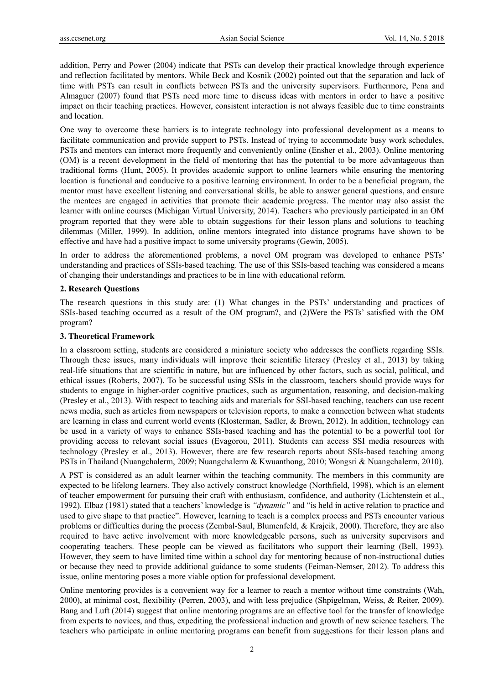addition, Perry and Power (2004) indicate that PSTs can develop their practical knowledge through experience and reflection facilitated by mentors. While Beck and Kosnik (2002) pointed out that the separation and lack of time with PSTs can result in conflicts between PSTs and the university supervisors. Furthermore, Pena and Almaguer (2007) found that PSTs need more time to discuss ideas with mentors in order to have a positive impact on their teaching practices. However, consistent interaction is not always feasible due to time constraints and location.

One way to overcome these barriers is to integrate technology into professional development as a means to facilitate communication and provide support to PSTs. Instead of trying to accommodate busy work schedules, PSTs and mentors can interact more frequently and conveniently online (Ensher et al., 2003). Online mentoring (OM) is a recent development in the field of mentoring that has the potential to be more advantageous than traditional forms (Hunt, 2005). It provides academic support to online learners while ensuring the mentoring location is functional and conducive to a positive learning environment. In order to be a beneficial program, the mentor must have excellent listening and conversational skills, be able to answer general questions, and ensure the mentees are engaged in activities that promote their academic progress. The mentor may also assist the learner with online courses (Michigan Virtual University, 2014). Teachers who previously participated in an OM program reported that they were able to obtain suggestions for their lesson plans and solutions to teaching dilemmas (Miller, 1999). In addition, online mentors integrated into distance programs have shown to be effective and have had a positive impact to some university programs (Gewin, 2005).

In order to address the aforementioned problems, a novel OM program was developed to enhance PSTs' understanding and practices of SSIs-based teaching. The use of this SSIs-based teaching was considered a means of changing their understandings and practices to be in line with educational reform.

## **2. Research Questions**

The research questions in this study are: (1) What changes in the PSTs' understanding and practices of SSIs-based teaching occurred as a result of the OM program?, and (2)Were the PSTs' satisfied with the OM program?

#### **3. Theoretical Framework**

In a classroom setting, students are considered a miniature society who addresses the conflicts regarding SSIs. Through these issues, many individuals will improve their scientific literacy (Presley et al., 2013) by taking real-life situations that are scientific in nature, but are influenced by other factors, such as social, political, and ethical issues (Roberts, 2007). To be successful using SSIs in the classroom, teachers should provide ways for students to engage in higher-order cognitive practices, such as argumentation, reasoning, and decision-making (Presley et al., 2013). With respect to teaching aids and materials for SSI-based teaching, teachers can use recent news media, such as articles from newspapers or television reports, to make a connection between what students are learning in class and current world events (Klosterman, Sadler, & Brown, 2012). In addition, technology can be used in a variety of ways to enhance SSIs-based teaching and has the potential to be a powerful tool for providing access to relevant social issues (Evagorou, 2011). Students can access SSI media resources with technology (Presley et al., 2013). However, there are few research reports about SSIs-based teaching among PSTs in Thailand (Nuangchalerm, 2009; Nuangchalerm & Kwuanthong, 2010; Wongsri & Nuangchalerm, 2010).

A PST is considered as an adult learner within the teaching community. The members in this community are expected to be lifelong learners. They also actively construct knowledge (Northfield, 1998), which is an element of teacher empowerment for pursuing their craft with enthusiasm, confidence, and authority (Lichtenstein et al., 1992). Elbaz (1981) stated that a teachers' knowledge is *"dynamic"* and "is held in active relation to practice and used to give shape to that practice". However, learning to teach is a complex process and PSTs encounter various problems or difficulties during the process (Zembal-Saul, Blumenfeld, & Krajcik, 2000). Therefore, they are also required to have active involvement with more knowledgeable persons, such as university supervisors and cooperating teachers. These people can be viewed as facilitators who support their learning (Bell, 1993). However, they seem to have limited time within a school day for mentoring because of non-instructional duties or because they need to provide additional guidance to some students (Feiman-Nemser, 2012). To address this issue, online mentoring poses a more viable option for professional development.

Online mentoring provides is a convenient way for a learner to reach a mentor without time constraints (Wah, 2000), at minimal cost, flexibility (Perren, 2003), and with less prejudice (Shpigelman, Weiss, & Reiter, 2009). Bang and Luft (2014) suggest that online mentoring programs are an effective tool for the transfer of knowledge from experts to novices, and thus, expediting the professional induction and growth of new science teachers. The teachers who participate in online mentoring programs can benefit from suggestions for their lesson plans and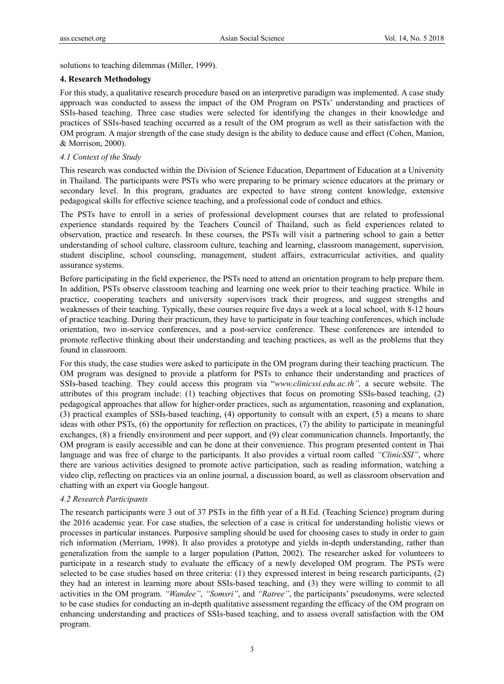solutions to teaching dilemmas (Miller, 1999).

## **4. Research Methodology**

For this study, a qualitative research procedure based on an interpretive paradigm was implemented. A case study approach was conducted to assess the impact of the OM Program on PSTs' understanding and practices of SSIs-based teaching. Three case studies were selected for identifying the changes in their knowledge and practices of SSIs-based teaching occurred as a result of the OM program as well as their satisfaction with the OM program. A major strength of the case study design is the ability to deduce cause and effect (Cohen, Manion, & Morrison, 2000).

## *4.1 Context of the Study*

This research was conducted within the Division of Science Education, Department of Education at a University in Thailand. The participants were PSTs who were preparing to be primary science educators at the primary or secondary level. In this program, graduates are expected to have strong content knowledge, extensive pedagogical skills for effective science teaching, and a professional code of conduct and ethics.

The PSTs have to enroll in a series of professional development courses that are related to professional experience standards required by the Teachers Council of Thailand, such as field experiences related to observation, practice and research. In these courses, the PSTs will visit a partnering school to gain a better understanding of school culture, classroom culture, teaching and learning, classroom management, supervision, student discipline, school counseling, management, student affairs, extracurricular activities, and quality assurance systems.

Before participating in the field experience, the PSTs need to attend an orientation program to help prepare them. In addition, PSTs observe classroom teaching and learning one week prior to their teaching practice. While in practice, cooperating teachers and university supervisors track their progress, and suggest strengths and weaknesses of their teaching. Typically, these courses require five days a week at a local school, with 8-12 hours of practice teaching. During their practicum, they have to participate in four teaching conferences, which include orientation, two in-service conferences, and a post-service conference. These conferences are intended to promote reflective thinking about their understanding and teaching practices, as well as the problems that they found in classroom.

For this study, the case studies were asked to participate in the OM program during their teaching practicum. The OM program was designed to provide a platform for PSTs to enhance their understanding and practices of SSIs-based teaching. They could access this program via "*www.clinicssi.edu.ac.th",* a secure website. The attributes of this program include: (1) teaching objectives that focus on promoting SSIs-based teaching, (2) pedagogical approaches that allow for higher-order practices, such as argumentation, reasoning and explanation, (3) practical examples of SSIs-based teaching, (4) opportunity to consult with an expert, (5) a means to share ideas with other PSTs, (6) the opportunity for reflection on practices, (7) the ability to participate in meaningful exchanges, (8) a friendly environment and peer support, and (9) clear communication channels. Importantly, the OM program is easily accessible and can be done at their convenience. This program presented content in Thai language and was free of charge to the participants. It also provides a virtual room called *"ClinicSSI"*, where there are various activities designed to promote active participation, such as reading information, watching a video clip, reflecting on practices via an online journal, a discussion board, as well as classroom observation and chatting with an expert via Google hangout.

## *4.2 Research Participants*

The research participants were 3 out of 37 PSTs in the fifth year of a B.Ed. (Teaching Science) program during the 2016 academic year. For case studies, the selection of a case is critical for understanding holistic views or processes in particular instances. Purposive sampling should be used for choosing cases to study in order to gain rich information (Merriam, 1998). It also provides a prototype and yields in-depth understanding, rather than generalization from the sample to a larger population (Patton, 2002). The researcher asked for volunteers to participate in a research study to evaluate the efficacy of a newly developed OM program. The PSTs were selected to be case studies based on three criteria: (1) they expressed interest in being research participants, (2) they had an interest in learning more about SSIs-based teaching, and (3) they were willing to commit to all activities in the OM program. *"Wandee"*, *"Somsri"*, and *"Ratree"*, the participants' pseudonyms, were selected to be case studies for conducting an in-depth qualitative assessment regarding the efficacy of the OM program on enhancing understanding and practices of SSIs-based teaching, and to assess overall satisfaction with the OM program.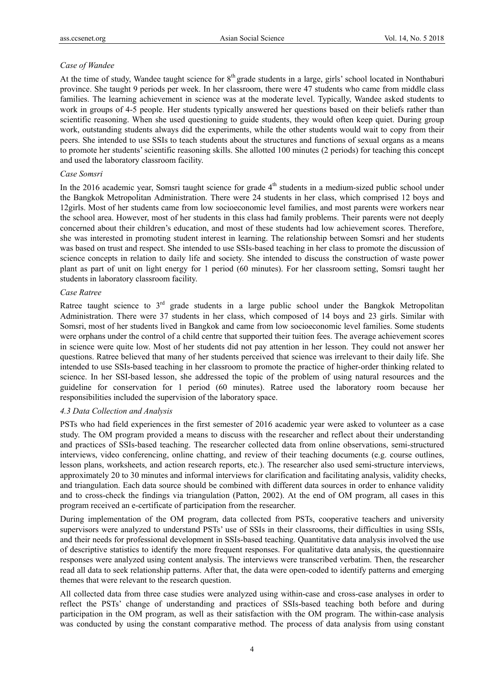#### *Case of Wandee*

At the time of study, Wandee taught science for  $8<sup>th</sup>$  grade students in a large, girls' school located in Nonthaburi province. She taught 9 periods per week. In her classroom, there were 47 students who came from middle class families. The learning achievement in science was at the moderate level. Typically, Wandee asked students to work in groups of 4-5 people. Her students typically answered her questions based on their beliefs rather than scientific reasoning. When she used questioning to guide students, they would often keep quiet. During group work, outstanding students always did the experiments, while the other students would wait to copy from their peers. She intended to use SSIs to teach students about the structures and functions of sexual organs as a means to promote her students' scientific reasoning skills. She allotted 100 minutes (2 periods) for teaching this concept and used the laboratory classroom facility.

## *Case Somsri*

In the 2016 academic year, Somsri taught science for grade  $4<sup>th</sup>$  students in a medium-sized public school under the Bangkok Metropolitan Administration. There were 24 students in her class, which comprised 12 boys and 12girls. Most of her students came from low socioeconomic level families, and most parents were workers near the school area. However, most of her students in this class had family problems. Their parents were not deeply concerned about their children's education, and most of these students had low achievement scores. Therefore, she was interested in promoting student interest in learning. The relationship between Somsri and her students was based on trust and respect. She intended to use SSIs-based teaching in her class to promote the discussion of science concepts in relation to daily life and society. She intended to discuss the construction of waste power plant as part of unit on light energy for 1 period (60 minutes). For her classroom setting, Somsri taught her students in laboratory classroom facility.

#### *Case Ratree*

Ratree taught science to  $3<sup>rd</sup>$  grade students in a large public school under the Bangkok Metropolitan Administration. There were 37 students in her class, which composed of 14 boys and 23 girls. Similar with Somsri, most of her students lived in Bangkok and came from low socioeconomic level families. Some students were orphans under the control of a child centre that supported their tuition fees. The average achievement scores in science were quite low. Most of her students did not pay attention in her lesson. They could not answer her questions. Ratree believed that many of her students perceived that science was irrelevant to their daily life. She intended to use SSIs-based teaching in her classroom to promote the practice of higher-order thinking related to science. In her SSI-based lesson, she addressed the topic of the problem of using natural resources and the guideline for conservation for 1 period (60 minutes). Ratree used the laboratory room because her responsibilities included the supervision of the laboratory space.

## *4.3 Data Collection and Analysis*

PSTs who had field experiences in the first semester of 2016 academic year were asked to volunteer as a case study. The OM program provided a means to discuss with the researcher and reflect about their understanding and practices of SSIs-based teaching. The researcher collected data from online observations, semi-structured interviews, video conferencing, online chatting, and review of their teaching documents (e.g. course outlines, lesson plans, worksheets, and action research reports, etc.). The researcher also used semi-structure interviews, approximately 20 to 30 minutes and informal interviews for clarification and facilitating analysis, validity checks, and triangulation. Each data source should be combined with different data sources in order to enhance validity and to cross-check the findings via triangulation (Patton, 2002). At the end of OM program, all cases in this program received an e-certificate of participation from the researcher.

During implementation of the OM program, data collected from PSTs, cooperative teachers and university supervisors were analyzed to understand PSTs' use of SSIs in their classrooms, their difficulties in using SSIs, and their needs for professional development in SSIs-based teaching. Quantitative data analysis involved the use of descriptive statistics to identify the more frequent responses. For qualitative data analysis, the questionnaire responses were analyzed using content analysis. The interviews were transcribed verbatim. Then, the researcher read all data to seek relationship patterns. After that, the data were open-coded to identify patterns and emerging themes that were relevant to the research question.

All collected data from three case studies were analyzed using within-case and cross-case analyses in order to reflect the PSTs' change of understanding and practices of SSIs-based teaching both before and during participation in the OM program, as well as their satisfaction with the OM program. The within-case analysis was conducted by using the constant comparative method. The process of data analysis from using constant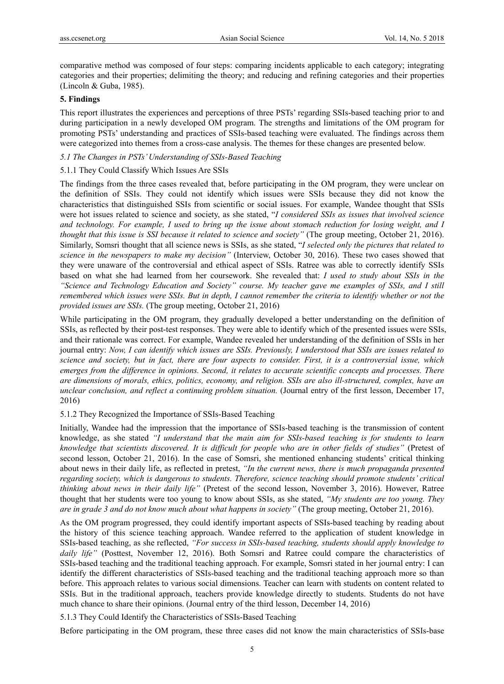comparative method was composed of four steps: comparing incidents applicable to each category; integrating categories and their properties; delimiting the theory; and reducing and refining categories and their properties (Lincoln & Guba, 1985).

## **5. Findings**

This report illustrates the experiences and perceptions of three PSTs' regarding SSIs-based teaching prior to and during participation in a newly developed OM program. The strengths and limitations of the OM program for promoting PSTs' understanding and practices of SSIs-based teaching were evaluated. The findings across them were categorized into themes from a cross-case analysis. The themes for these changes are presented below.

#### *5.1 The Changes in PSTs' Understanding of SSIs-Based Teaching*

#### 5.1.1 They Could Classify Which Issues Are SSIs

The findings from the three cases revealed that, before participating in the OM program, they were unclear on the definition of SSIs. They could not identify which issues were SSIs because they did not know the characteristics that distinguished SSIs from scientific or social issues. For example, Wandee thought that SSIs were hot issues related to science and society, as she stated, "*I considered SSIs as issues that involved science and technology. For example, I used to bring up the issue about stomach reduction for losing weight, and I thought that this issue is SSI because it related to science and society"* (The group meeting, October 21, 2016). Similarly, Somsri thought that all science news is SSIs, as she stated, "*I selected only the pictures that related to science in the newspapers to make my decision"* (Interview, October 30, 2016). These two cases showed that they were unaware of the controversial and ethical aspect of SSIs. Ratree was able to correctly identify SSIs based on what she had learned from her coursework. She revealed that: *I used to study about SSIs in the "Science and Technology Education and Society" course. My teacher gave me examples of SSIs, and I still remembered which issues were SSIs. But in depth, I cannot remember the criteria to identify whether or not the provided issues are SSIs.* (The group meeting, October 21, 2016)

While participating in the OM program, they gradually developed a better understanding on the definition of SSIs, as reflected by their post-test responses. They were able to identify which of the presented issues were SSIs, and their rationale was correct. For example, Wandee revealed her understanding of the definition of SSIs in her journal entry: *Now, I can identify which issues are SSIs. Previously, I understood that SSIs are issues related to science and society, but in fact, there are four aspects to consider. First, it is a controversial issue, which emerges from the difference in opinions. Second, it relates to accurate scientific concepts and processes. There are dimensions of morals, ethics, politics, economy, and religion. SSIs are also ill-structured, complex, have an unclear conclusion, and reflect a continuing problem situation.* (Journal entry of the first lesson, December 17, 2016)

#### 5.1.2 They Recognized the Importance of SSIs-Based Teaching

Initially, Wandee had the impression that the importance of SSIs-based teaching is the transmission of content knowledge, as she stated *"I understand that the main aim for SSIs-based teaching is for students to learn knowledge that scientists discovered. It is difficult for people who are in other fields of studies"* (Pretest of second lesson, October 21, 2016). In the case of Somsri, she mentioned enhancing students' critical thinking about news in their daily life, as reflected in pretest, *"In the current news, there is much propaganda presented regarding society, which is dangerous to students. Therefore, science teaching should promote students' critical thinking about news in their daily life"* (Pretest of the second lesson, November 3, 2016). However, Ratree thought that her students were too young to know about SSIs, as she stated, *"My students are too young. They are in grade 3 and do not know much about what happens in society"* (The group meeting, October 21, 2016).

As the OM program progressed, they could identify important aspects of SSIs-based teaching by reading about the history of this science teaching approach. Wandee referred to the application of student knowledge in SSIs-based teaching, as she reflected, *"For success in SSIs-based teaching, students should apply knowledge to*  daily life" (Posttest, November 12, 2016). Both Somsri and Ratree could compare the characteristics of SSIs-based teaching and the traditional teaching approach. For example, Somsri stated in her journal entry: I can identify the different characteristics of SSIs-based teaching and the traditional teaching approach more so than before. This approach relates to various social dimensions. Teacher can learn with students on content related to SSIs. But in the traditional approach, teachers provide knowledge directly to students. Students do not have much chance to share their opinions. (Journal entry of the third lesson, December 14, 2016)

5.1.3 They Could Identify the Characteristics of SSIs-Based Teaching

Before participating in the OM program, these three cases did not know the main characteristics of SSIs-base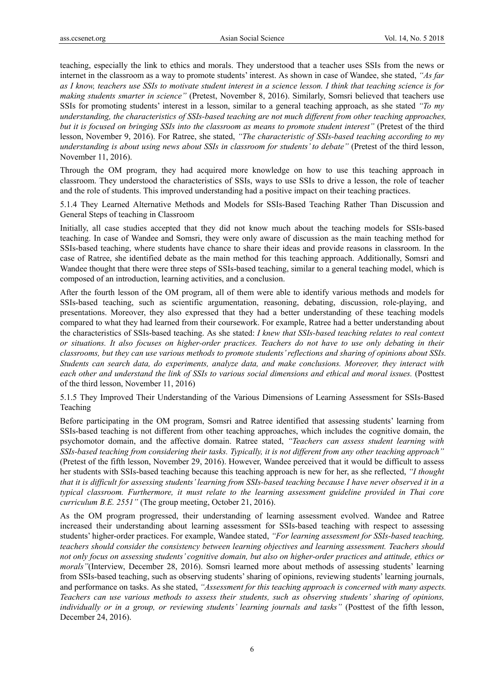teaching, especially the link to ethics and morals. They understood that a teacher uses SSIs from the news or internet in the classroom as a way to promote students' interest. As shown in case of Wandee, she stated, *"As far as I know, teachers use SSIs to motivate student interest in a science lesson. I think that teaching science is for making students smarter in science"* (Pretest, November 8, 2016). Similarly, Somsri believed that teachers use SSIs for promoting students' interest in a lesson, similar to a general teaching approach, as she stated *"To my understanding, the characteristics of SSIs-based teaching are not much different from other teaching approaches, but it is focused on bringing SSIs into the classroom as means to promote student interest"* (Pretest of the third lesson, November 9, 2016). For Ratree, she stated, *"The characteristic of SSIs-based teaching according to my understanding is about using news about SSIs in classroom for students' to debate"* (Pretest of the third lesson, November 11, 2016).

Through the OM program, they had acquired more knowledge on how to use this teaching approach in classroom. They understood the characteristics of SSIs, ways to use SSIs to drive a lesson, the role of teacher and the role of students. This improved understanding had a positive impact on their teaching practices.

5.1.4 They Learned Alternative Methods and Models for SSIs-Based Teaching Rather Than Discussion and General Steps of teaching in Classroom

Initially, all case studies accepted that they did not know much about the teaching models for SSIs-based teaching. In case of Wandee and Somsri, they were only aware of discussion as the main teaching method for SSIs-based teaching, where students have chance to share their ideas and provide reasons in classroom. In the case of Ratree, she identified debate as the main method for this teaching approach. Additionally, Somsri and Wandee thought that there were three steps of SSIs-based teaching, similar to a general teaching model, which is composed of an introduction, learning activities, and a conclusion.

After the fourth lesson of the OM program, all of them were able to identify various methods and models for SSIs-based teaching, such as scientific argumentation, reasoning, debating, discussion, role-playing, and presentations. Moreover, they also expressed that they had a better understanding of these teaching models compared to what they had learned from their coursework. For example, Ratree had a better understanding about the characteristics of SSIs-based teaching. As she stated: *I knew that SSIs-based teaching relates to real context or situations. It also focuses on higher-order practices. Teachers do not have to use only debating in their classrooms, but they can use various methods to promote students' reflections and sharing of opinions about SSIs. Students can search data, do experiments, analyze data, and make conclusions. Moreover, they interact with each other and understand the link of SSIs to various social dimensions and ethical and moral issues.* (Posttest of the third lesson, November 11, 2016)

5.1.5 They Improved Their Understanding of the Various Dimensions of Learning Assessment for SSIs-Based Teaching

Before participating in the OM program, Somsri and Ratree identified that assessing students' learning from SSIs-based teaching is not different from other teaching approaches, which includes the cognitive domain, the psychomotor domain, and the affective domain. Ratree stated, *"Teachers can assess student learning with SSIs-based teaching from considering their tasks. Typically, it is not different from any other teaching approach"* (Pretest of the fifth lesson, November 29, 2016). However, Wandee perceived that it would be difficult to assess her students with SSIs-based teaching because this teaching approach is new for her, as she reflected, *"I thought that it is difficult for assessing students' learning from SSIs-based teaching because I have never observed it in a typical classroom. Furthermore, it must relate to the learning assessment guideline provided in Thai core curriculum B.E. 2551"* (The group meeting, October 21, 2016).

As the OM program progressed, their understanding of learning assessment evolved. Wandee and Ratree increased their understanding about learning assessment for SSIs-based teaching with respect to assessing students' higher-order practices. For example, Wandee stated, *"For learning assessment for SSIs-based teaching, teachers should consider the consistency between learning objectives and learning assessment. Teachers should not only focus on assessing students' cognitive domain, but also on higher-order practices and attitude, ethics or morals"*(Interview, December 28, 2016). Somsri learned more about methods of assessing students' learning from SSIs-based teaching, such as observing students' sharing of opinions, reviewing students' learning journals, and performance on tasks. As she stated, *"Assessment for this teaching approach is concerned with many aspects. Teachers can use various methods to assess their students, such as observing students' sharing of opinions, individually or in a group, or reviewing students' learning journals and tasks"* (Posttest of the fifth lesson, December 24, 2016).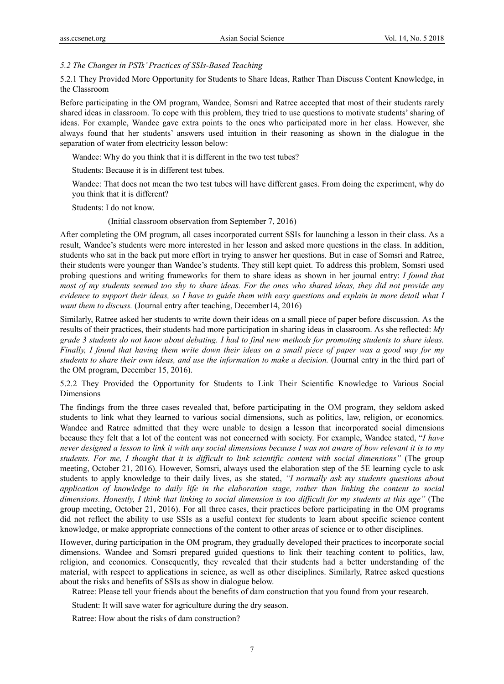#### *5.2 The Changes in PSTs' Practices of SSIs-Based Teaching*

5.2.1 They Provided More Opportunity for Students to Share Ideas, Rather Than Discuss Content Knowledge, in the Classroom

Before participating in the OM program, Wandee, Somsri and Ratree accepted that most of their students rarely shared ideas in classroom. To cope with this problem, they tried to use questions to motivate students' sharing of ideas. For example, Wandee gave extra points to the ones who participated more in her class. However, she always found that her students' answers used intuition in their reasoning as shown in the dialogue in the separation of water from electricity lesson below:

Wandee: Why do you think that it is different in the two test tubes?

Students: Because it is in different test tubes.

Wandee: That does not mean the two test tubes will have different gases. From doing the experiment, why do you think that it is different?

Students: I do not know.

(Initial classroom observation from September 7, 2016)

After completing the OM program, all cases incorporated current SSIs for launching a lesson in their class. As a result, Wandee's students were more interested in her lesson and asked more questions in the class. In addition, students who sat in the back put more effort in trying to answer her questions. But in case of Somsri and Ratree, their students were younger than Wandee's students. They still kept quiet. To address this problem, Somsri used probing questions and writing frameworks for them to share ideas as shown in her journal entry: *I found that most of my students seemed too shy to share ideas. For the ones who shared ideas, they did not provide any evidence to support their ideas, so I have to guide them with easy questions and explain in more detail what I want them to discuss.* (Journal entry after teaching, December14, 2016)

Similarly, Ratree asked her students to write down their ideas on a small piece of paper before discussion. As the results of their practices, their students had more participation in sharing ideas in classroom. As she reflected: *My grade 3 students do not know about debating. I had to find new methods for promoting students to share ideas. Finally, I found that having them write down their ideas on a small piece of paper was a good way for my students to share their own ideas, and use the information to make a decision.* (Journal entry in the third part of the OM program, December 15, 2016).

5.2.2 They Provided the Opportunity for Students to Link Their Scientific Knowledge to Various Social Dimensions

The findings from the three cases revealed that, before participating in the OM program, they seldom asked students to link what they learned to various social dimensions, such as politics, law, religion, or economics. Wandee and Ratree admitted that they were unable to design a lesson that incorporated social dimensions because they felt that a lot of the content was not concerned with society. For example, Wandee stated, "*I have never designed a lesson to link it with any social dimensions because I was not aware of how relevant it is to my students. For me, I thought that it is difficult to link scientific content with social dimensions"* (The group meeting, October 21, 2016). However, Somsri, always used the elaboration step of the 5E learning cycle to ask students to apply knowledge to their daily lives, as she stated, *"I normally ask my students questions about application of knowledge to daily life in the elaboration stage, rather than linking the content to social dimensions. Honestly, I think that linking to social dimension is too difficult for my students at this age"* (The group meeting, October 21, 2016). For all three cases, their practices before participating in the OM programs did not reflect the ability to use SSIs as a useful context for students to learn about specific science content knowledge, or make appropriate connections of the content to other areas of science or to other disciplines.

However, during participation in the OM program, they gradually developed their practices to incorporate social dimensions. Wandee and Somsri prepared guided questions to link their teaching content to politics, law, religion, and economics. Consequently, they revealed that their students had a better understanding of the material, with respect to applications in science, as well as other disciplines. Similarly, Ratree asked questions about the risks and benefits of SSIs as show in dialogue below.

Ratree: Please tell your friends about the benefits of dam construction that you found from your research.

Student: It will save water for agriculture during the dry season.

Ratree: How about the risks of dam construction?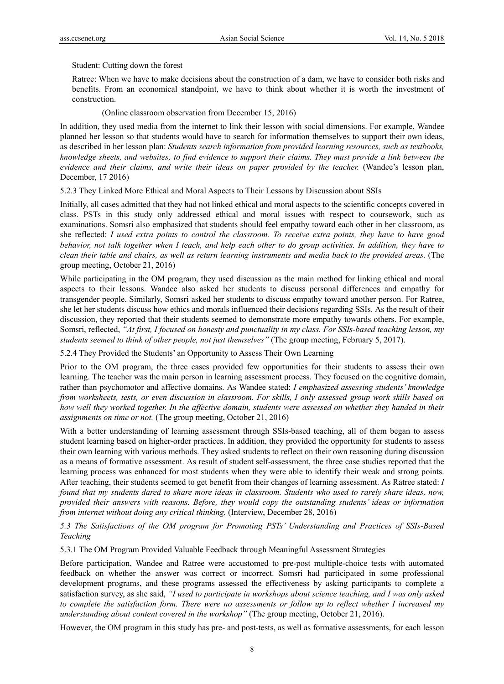#### Student: Cutting down the forest

Ratree: When we have to make decisions about the construction of a dam, we have to consider both risks and benefits. From an economical standpoint, we have to think about whether it is worth the investment of construction.

## (Online classroom observation from December 15, 2016)

In addition, they used media from the internet to link their lesson with social dimensions. For example, Wandee planned her lesson so that students would have to search for information themselves to support their own ideas, as described in her lesson plan: *Students search information from provided learning resources, such as textbooks, knowledge sheets, and websites, to find evidence to support their claims. They must provide a link between the evidence and their claims, and write their ideas on paper provided by the teacher.* (Wandee's lesson plan, December, 17 2016)

5.2.3 They Linked More Ethical and Moral Aspects to Their Lessons by Discussion about SSIs

Initially, all cases admitted that they had not linked ethical and moral aspects to the scientific concepts covered in class. PSTs in this study only addressed ethical and moral issues with respect to coursework, such as examinations. Somsri also emphasized that students should feel empathy toward each other in her classroom, as she reflected: *I used extra points to control the classroom. To receive extra points, they have to have good behavior, not talk together when I teach, and help each other to do group activities. In addition, they have to clean their table and chairs, as well as return learning instruments and media back to the provided areas.* (The group meeting, October 21, 2016)

While participating in the OM program, they used discussion as the main method for linking ethical and moral aspects to their lessons. Wandee also asked her students to discuss personal differences and empathy for transgender people. Similarly, Somsri asked her students to discuss empathy toward another person. For Ratree, she let her students discuss how ethics and morals influenced their decisions regarding SSIs. As the result of their discussion, they reported that their students seemed to demonstrate more empathy towards others. For example, Somsri, reflected, *"At first, I focused on honesty and punctuality in my class. For SSIs-based teaching lesson, my students seemed to think of other people, not just themselves"* (The group meeting, February 5, 2017).

#### 5.2.4 They Provided the Students' an Opportunity to Assess Their Own Learning

Prior to the OM program, the three cases provided few opportunities for their students to assess their own learning. The teacher was the main person in learning assessment process. They focused on the cognitive domain, rather than psychomotor and affective domains. As Wandee stated: *I emphasized assessing students' knowledge from worksheets, tests, or even discussion in classroom. For skills, I only assessed group work skills based on how well they worked together. In the affective domain, students were assessed on whether they handed in their assignments on time or not.* (The group meeting, October 21, 2016)

With a better understanding of learning assessment through SSIs-based teaching, all of them began to assess student learning based on higher-order practices. In addition, they provided the opportunity for students to assess their own learning with various methods. They asked students to reflect on their own reasoning during discussion as a means of formative assessment. As result of student self-assessment, the three case studies reported that the learning process was enhanced for most students when they were able to identify their weak and strong points. After teaching, their students seemed to get benefit from their changes of learning assessment. As Ratree stated: *I found that my students dared to share more ideas in classroom. Students who used to rarely share ideas, now, provided their answers with reasons. Before, they would copy the outstanding students' ideas or information from internet without doing any critical thinking.* (Interview, December 28, 2016)

*5.3 The Satisfactions of the OM program for Promoting PSTs' Understanding and Practices of SSIs-Based Teaching* 

5.3.1 The OM Program Provided Valuable Feedback through Meaningful Assessment Strategies

Before participation, Wandee and Ratree were accustomed to pre-post multiple-choice tests with automated feedback on whether the answer was correct or incorrect. Somsri had participated in some professional development programs, and these programs assessed the effectiveness by asking participants to complete a satisfaction survey, as she said, *"I used to participate in workshops about science teaching, and I was only asked to complete the satisfaction form. There were no assessments or follow up to reflect whether I increased my understanding about content covered in the workshop"* (The group meeting, October 21, 2016).

However, the OM program in this study has pre- and post-tests, as well as formative assessments, for each lesson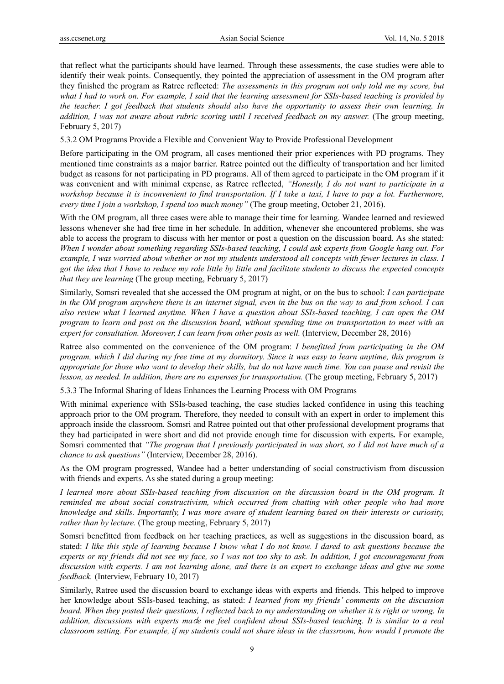that reflect what the participants should have learned. Through these assessments, the case studies were able to identify their weak points. Consequently, they pointed the appreciation of assessment in the OM program after they finished the program as Ratree reflected: *The assessments in this program not only told me my score, but what I had to work on. For example, I said that the learning assessment for SSIs-based teaching is provided by the teacher. I got feedback that students should also have the opportunity to assess their own learning. In addition, I was not aware about rubric scoring until I received feedback on my answer.* (The group meeting, February 5, 2017)

5.3.2 OM Programs Provide a Flexible and Convenient Way to Provide Professional Development

Before participating in the OM program, all cases mentioned their prior experiences with PD programs. They mentioned time constraints as a major barrier. Ratree pointed out the difficulty of transportation and her limited budget as reasons for not participating in PD programs. All of them agreed to participate in the OM program if it was convenient and with minimal expense, as Ratree reflected, *"Honestly, I do not want to participate in a workshop because it is inconvenient to find transportation. If I take a taxi, I have to pay a lot. Furthermore, every time I join a workshop, I spend too much money"* (The group meeting, October 21, 2016).

With the OM program, all three cases were able to manage their time for learning. Wandee learned and reviewed lessons whenever she had free time in her schedule. In addition, whenever she encountered problems, she was able to access the program to discuss with her mentor or post a question on the discussion board. As she stated: *When I wonder about something regarding SSIs-based teaching, I could ask experts from Google hang out. For example, I was worried about whether or not my students understood all concepts with fewer lectures in class. I got the idea that I have to reduce my role little by little and facilitate students to discuss the expected concepts that they are learning* (The group meeting, February 5, 2017)

Similarly, Somsri revealed that she accessed the OM program at night, or on the bus to school: *I can participate in the OM program anywhere there is an internet signal, even in the bus on the way to and from school. I can also review what I learned anytime. When I have a question about SSIs-based teaching, I can open the OM program to learn and post on the discussion board, without spending time on transportation to meet with an expert for consultation. Moreover, I can learn from other posts as well.* (Interview, December 28, 2016)

Ratree also commented on the convenience of the OM program: *I benefitted from participating in the OM program, which I did during my free time at my dormitory. Since it was easy to learn anytime, this program is appropriate for those who want to develop their skills, but do not have much time. You can pause and revisit the lesson, as needed. In addition, there are no expenses for transportation.* (The group meeting, February 5, 2017)

5.3.3 The Informal Sharing of Ideas Enhances the Learning Process with OM Programs

With minimal experience with SSIs-based teaching, the case studies lacked confidence in using this teaching approach prior to the OM program. Therefore, they needed to consult with an expert in order to implement this approach inside the classroom. Somsri and Ratree pointed out that other professional development programs that they had participated in were short and did not provide enough time for discussion with experts*.* For example, Somsri commented that *"The program that I previously participated in was short, so I did not have much of a chance to ask questions"* (Interview, December 28, 2016).

As the OM program progressed, Wandee had a better understanding of social constructivism from discussion with friends and experts. As she stated during a group meeting:

*I learned more about SSIs-based teaching from discussion on the discussion board in the OM program. It reminded me about social constructivism, which occurred from chatting with other people who had more knowledge and skills. Importantly, I was more aware of student learning based on their interests or curiosity, rather than by lecture.* (The group meeting, February 5, 2017)

Somsri benefitted from feedback on her teaching practices, as well as suggestions in the discussion board, as stated: *I like this style of learning because I know what I do not know. I dared to ask questions because the experts or my friends did not see my face, so I was not too shy to ask. In addition, I got encouragement from discussion with experts. I am not learning alone, and there is an expert to exchange ideas and give me some feedback.* (Interview, February 10, 2017)

Similarly, Ratree used the discussion board to exchange ideas with experts and friends. This helped to improve her knowledge about SSIs-based teaching, as stated: *I learned from my friends' comments on the discussion board. When they posted their questions, I reflected back to my understanding on whether it is right or wrong. In addition, discussions with experts ma*d*e me feel confident about SSIs-based teaching. It is similar to a real classroom setting. For example, if my students could not share ideas in the classroom, how would I promote the*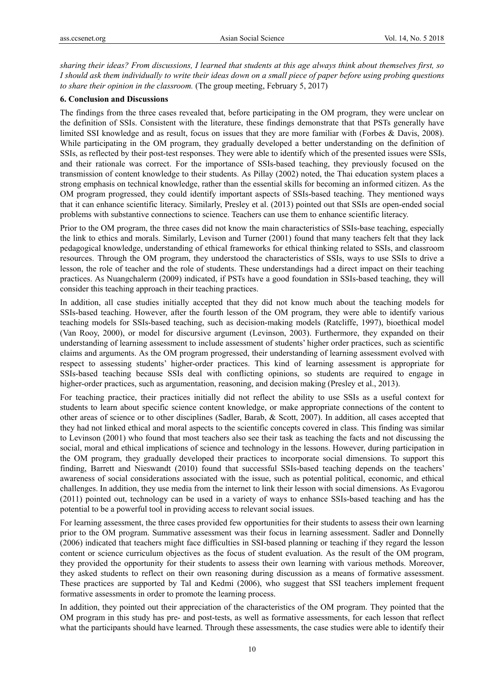*sharing their ideas? From discussions, I learned that students at this age always think about themselves first, so I should ask them individually to write their ideas down on a small piece of paper before using probing questions to share their opinion in the classroom.* (The group meeting, February 5, 2017)

#### **6. Conclusion and Discussions**

The findings from the three cases revealed that, before participating in the OM program, they were unclear on the definition of SSIs. Consistent with the literature, these findings demonstrate that that PSTs generally have limited SSI knowledge and as result, focus on issues that they are more familiar with (Forbes & Davis, 2008). While participating in the OM program, they gradually developed a better understanding on the definition of SSIs, as reflected by their post-test responses. They were able to identify which of the presented issues were SSIs, and their rationale was correct. For the importance of SSIs-based teaching, they previously focused on the transmission of content knowledge to their students. As Pillay (2002) noted, the Thai education system places a strong emphasis on technical knowledge, rather than the essential skills for becoming an informed citizen. As the OM program progressed, they could identify important aspects of SSIs-based teaching. They mentioned ways that it can enhance scientific literacy. Similarly, Presley et al. (2013) pointed out that SSIs are open-ended social problems with substantive connections to science. Teachers can use them to enhance scientific literacy.

Prior to the OM program, the three cases did not know the main characteristics of SSIs-base teaching, especially the link to ethics and morals. Similarly, Levison and Turner (2001) found that many teachers felt that they lack pedagogical knowledge, understanding of ethical frameworks for ethical thinking related to SSIs, and classroom resources. Through the OM program, they understood the characteristics of SSIs, ways to use SSIs to drive a lesson, the role of teacher and the role of students. These understandings had a direct impact on their teaching practices. As Nuangchalerm (2009) indicated, if PSTs have a good foundation in SSIs-based teaching, they will consider this teaching approach in their teaching practices.

In addition, all case studies initially accepted that they did not know much about the teaching models for SSIs-based teaching. However, after the fourth lesson of the OM program, they were able to identify various teaching models for SSIs-based teaching, such as decision-making models (Ratcliffe, 1997), bioethical model (Van Rooy, 2000), or model for discursive argument (Levinson, 2003). Furthermore, they expanded on their understanding of learning assessment to include assessment of students' higher order practices, such as scientific claims and arguments. As the OM program progressed, their understanding of learning assessment evolved with respect to assessing students' higher-order practices. This kind of learning assessment is appropriate for SSIs-based teaching because SSIs deal with conflicting opinions, so students are required to engage in higher-order practices, such as argumentation, reasoning, and decision making (Presley et al., 2013).

For teaching practice, their practices initially did not reflect the ability to use SSIs as a useful context for students to learn about specific science content knowledge, or make appropriate connections of the content to other areas of science or to other disciplines (Sadler, Barab, & Scott, 2007). In addition, all cases accepted that they had not linked ethical and moral aspects to the scientific concepts covered in class. This finding was similar to Levinson (2001) who found that most teachers also see their task as teaching the facts and not discussing the social, moral and ethical implications of science and technology in the lessons. However, during participation in the OM program, they gradually developed their practices to incorporate social dimensions. To support this finding, Barrett and Nieswandt (2010) found that successful SSIs-based teaching depends on the teachers' awareness of social considerations associated with the issue, such as potential political, economic, and ethical challenges. In addition, they use media from the internet to link their lesson with social dimensions. As Evagorou (2011) pointed out, technology can be used in a variety of ways to enhance SSIs-based teaching and has the potential to be a powerful tool in providing access to relevant social issues.

For learning assessment, the three cases provided few opportunities for their students to assess their own learning prior to the OM program. Summative assessment was their focus in learning assessment. Sadler and Donnelly (2006) indicated that teachers might face difficulties in SSI-based planning or teaching if they regard the lesson content or science curriculum objectives as the focus of student evaluation. As the result of the OM program, they provided the opportunity for their students to assess their own learning with various methods. Moreover, they asked students to reflect on their own reasoning during discussion as a means of formative assessment. These practices are supported by Tal and Kedmi (2006), who suggest that SSI teachers implement frequent formative assessments in order to promote the learning process.

In addition, they pointed out their appreciation of the characteristics of the OM program. They pointed that the OM program in this study has pre- and post-tests, as well as formative assessments, for each lesson that reflect what the participants should have learned. Through these assessments, the case studies were able to identify their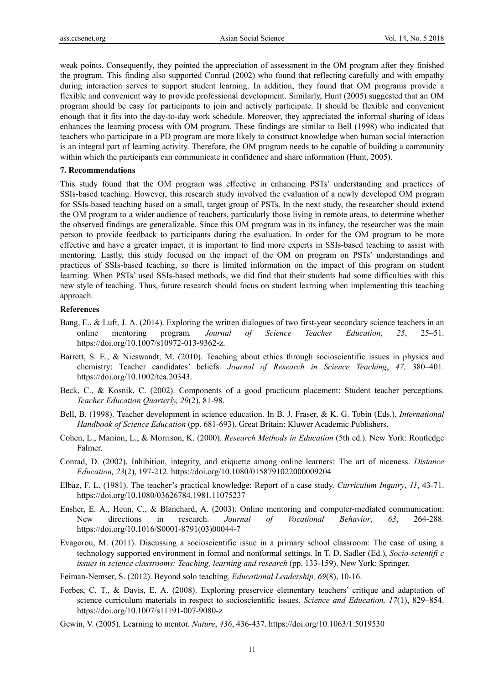weak points. Consequently, they pointed the appreciation of assessment in the OM program after they finished the program. This finding also supported Conrad (2002) who found that reflecting carefully and with empathy during interaction serves to support student learning. In addition, they found that OM programs provide a flexible and convenient way to provide professional development. Similarly, Hunt (2005) suggested that an OM program should be easy for participants to join and actively participate. It should be flexible and convenient enough that it fits into the day-to-day work schedule. Moreover, they appreciated the informal sharing of ideas enhances the learning process with OM program. These findings are similar to Bell (1998) who indicated that teachers who participate in a PD program are more likely to construct knowledge when human social interaction is an integral part of learning activity. Therefore, the OM program needs to be capable of building a community within which the participants can communicate in confidence and share information (Hunt, 2005).

#### **7. Recommendations**

This study found that the OM program was effective in enhancing PSTs' understanding and practices of SSIs-based teaching. However, this research study involved the evaluation of a newly developed OM program for SSIs-based teaching based on a small, target group of PSTs. In the next study, the researcher should extend the OM program to a wider audience of teachers, particularly those living in remote areas, to determine whether the observed findings are generalizable. Since this OM program was in its infancy, the researcher was the main person to provide feedback to participants during the evaluation. In order for the OM program to be more effective and have a greater impact, it is important to find more experts in SSIs-based teaching to assist with mentoring. Lastly, this study focused on the impact of the OM on program on PSTs' understandings and practices of SSIs-based teaching, so there is limited information on the impact of this program on student learning. When PSTs' used SSIs-based methods, we did find that their students had some difficulties with this new style of teaching. Thus, future research should focus on student learning when implementing this teaching approach.

#### **References**

- Bang, E., & Luft, J. A. (2014). Exploring the written dialogues of two first-year secondary science teachers in an online mentoring program*. Journal of Science Teacher Education*, *25*, 25–51. https://doi.org/10.1007/s10972-013-9362-z.
- Barrett, S. E., & Nieswandt, M. (2010). Teaching about ethics through socioscientific issues in physics and chemistry: Teacher candidates' beliefs. *Journal of Research in Science Teaching*, *47,* 380–401. https://doi.org/10.1002/tea.20343.
- Beck, C., & Kosnik, C. (2002). Components of a good practicum placement: Student teacher perceptions. *Teacher Education Quarterly, 29*(2), 81-98.
- Bell, B. (1998). Teacher development in science education. In B. J. Fraser, & K. G. Tobin (Eds.), *International Handbook of Science Education* (pp. 681-693). Great Britain: Kluwer Academic Publishers.
- Cohen, L., Manion, L., & Morrison, K. (2000). *Research Methods in Education* (5th ed.). New York: Routledge Falmer.
- Conrad, D. (2002). Inhibition, integrity, and etiquette among online learners: The art of niceness. *Distance Education, 23*(2), 197-212. https://doi.org/10.1080/0158791022000009204
- Elbaz, F. L. (1981). The teacher's practical knowledge: Report of a case study. *Curriculum Inquiry*, *11*, 43-71. https://doi.org/10.1080/03626784.1981.11075237
- Ensher, E. A., Heun, C., & Blanchard, A. (2003). Online mentoring and computer-mediated communication: New directions in research. *Journal of Vocational Behavior*, *63*, 264-288. https://doi.org/10.1016/S0001-8791(03)00044-7
- Evagorou, M. (2011). Discussing a socioscientific issue in a primary school classroom: The case of using a technology supported environment in formal and nonformal settings. In T. D. Sadler (Ed.), *Socio-scientifi c issues in science classrooms: Teaching, learning and research (pp. 133-159). New York: Springer.*
- Feiman-Nemser, S. (2012). Beyond solo teaching. *Educational Leadership, 69*(8), 10-16.
- Forbes, C. T., & Davis, E. A. (2008). Exploring preservice elementary teachers' critique and adaptation of science curriculum materials in respect to socioscientific issues. *Science and Education, 17*(1), 829–854. https://doi.org/10.1007/s11191-007-9080-z
- Gewin, V. (2005). Learning to mentor. *Nature*, *436*, 436-437. https://doi.org/10.1063/1.5019530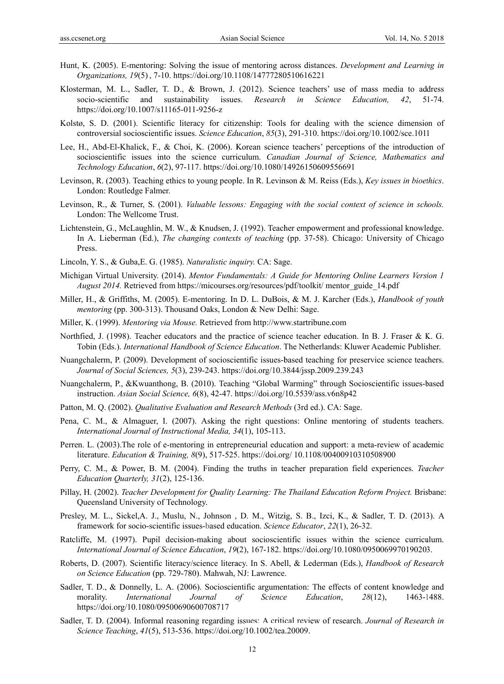- Hunt, K. (2005). E-mentoring: Solving the issue of mentoring across distances. *Development and Learning in* Organizations, 19(5), 7-10. https://doi.org/10.1108/14777280510616221
- Klosterman, M. L., Sadler, T. D., & Brown, J. (2012). Science teachers' use of mass media to address socio-scientific and sustainability issues. Research in Scien https://doi.org/10.1007/s11165-011-9256-z *Science Education. A*<sub>2</sub>, 51-74.
- Kolstø, S. D. (2001). Scientific literacy for citizenship: Tools for dealing with the science dimension of controversial socioscientific issues. *Science Education*, 85(3), 291-310. https://doi.org/10.1002/sce.1011
- Lee, H., Abd-El-Khalick, F., & Choi, K. (2006). Korean science teachers' perceptions of the introduction of socioscientific issues into the science curriculum. *Canadian Journal of Science, Mathematics and* Technology Education, 6(2), 97-117. https://doi.org/10.1080/14926150609556691
- Levinson, R. (2003). Teaching ethics to young people. In R. Levinson & M. Reiss (Eds.), *Key issues in bioethics*. London: Routledge Falmer.
- Levinson, R., & Turner, S. (2001). *Valuable lessons: Engaging with the social context of science in schools.* London: The Wellcome Trust.
- Lichtenstein, G., McLaughlin, M. W., & Knudsen, J. (1992). Teacher empowerment and professional knowledge. In A. Lieberman (Ed.), *The changing contexts of teaching* (pp. 37-58). Chicago: University of Chicago Press .
- Lincoln, Y. S., & Guba, E. G. (1985). *Naturalistic inquiry*. CA: Sage.
- Michigan Virtual University. (2014). Mentor Fundamentals: A Guide for Mentoring Online Learners Version 1 August 2014. Retrieved from https://micourses.org/resources/pdf/toolkit/ mentor\_guide\_14.pdf
- Miller, H., & Griffiths, M. (2005). E-mentoring. In D. L. DuBois, & M. J. Karcher (Eds.), *Handbook of youth mentoring* (pp. 300-313). Thousand Oaks, London & New Delhi: Sage.
- Miller, K. (1999). Mentoring via Mouse. Retrieved from http://www.startribune.com
- Northfied, J. (1998). Teacher educators and the practice of science teacher education. In B. J. Fraser & K. G. Tobin (Eds.). *International Handbook of Science Education*. The Netherlands: Kluwer Academic Publisher.
- Nuangchalerm, P. (2009). Development of socioscientific issues-based teaching for preservice science teachers. Journal of Social Sciences, 5(3), 239-243. https://doi.org/10.3844/jssp.2009.239.243
- Nuangchalerm, P., & Kwuanthong, B. (2010). Teaching "Global Warming" through Socioscientific issues-based instruction. Asian Social Science, 6(8), 42-47. https://doi.org/10.5539/ass.v6n8p42
- Patton, M. Q. (2002). *Qualitative Evaluation and Research Methods* (3rd ed.). CA: Sage.
- Pena, C. M., & Almaguer, I. (2007). Asking the right questions: Online mentoring of students teachers. International Journal of Instructional Media, 34(1), 105-113.
- Perren. L. (2003). The role of e-mentoring in entrepreneurial education and support: a meta-review of academic literature. *Education & Training, 8*(9), 517-525. https://doi.org/ 10.1108/00400910310508900
- Perry, C. M., & Power, B. M. (2004). Finding the truths in teacher preparation field experiences. *Teacher Education Quarterly, 31(2), 125-136.*
- Pillay, H. (2002). *Teacher Development for Quality Learning: The Thailand Education Reform Project. Brisbane:* Queensland University of Technology.
- Presley, M. L., Sickel,A. J., Muslu, N., Johnson , D. M., Witzig, S. B., Izci, K., & Sadler, T. D. (2013). A framework for socio-scientific issues-based education. *Science Educator*, 22(1), 26-32.
- Ratcliffe, M. (1997). Pupil decision-making about socioscientific issues within the science curriculum. *International Journal of Science Education, 19(2), 167-182. https://doi.org/10.1080/0950069970190203.*
- Roberts, D. (2007). Scientific literacy/science literacy. In S. Abell, & Lederman (Eds.), *Handbook of Research* on Science Education (pp. 729-780). Mahwah, NJ: Lawrence.
- Sadler, T. D., & Donnelly, L. A. (2006). Socioscientific argumentation: The effects of content knowledge and morality. https://doi.org/10.1080/09500690600708717 lity. *International* J *Journal o Science Education*. *<i>28***(12)**, 2), 1463-1 1488.
- Sadler, T. D. (2004). Informal reasoning regarding issues: A critical review of research. *Journal of Research in* Science Teaching, 41(5), 513-536. https://doi.org/10.1002/tea.20009.